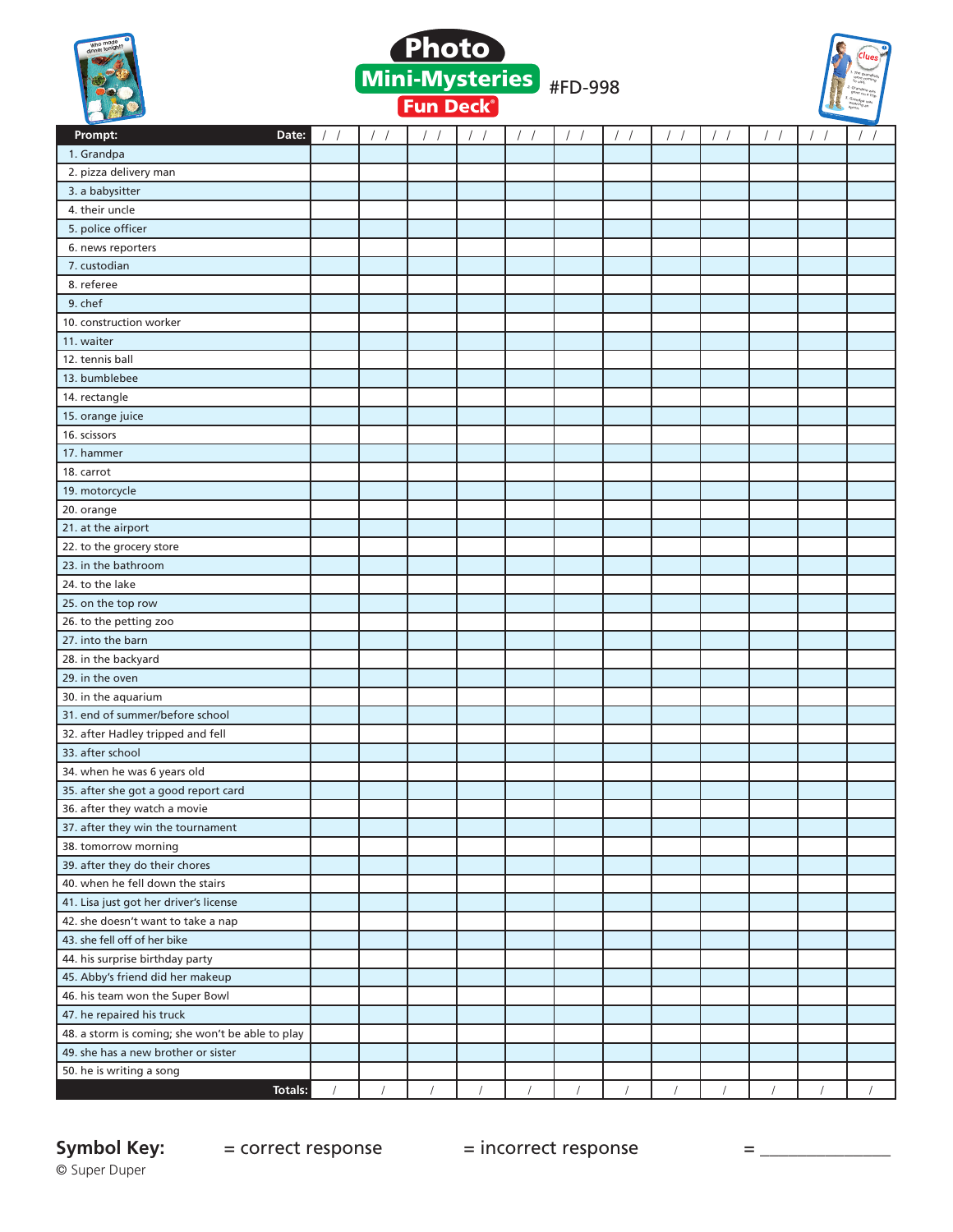





| Prompt:<br>Date:                                 | $\frac{1}{2}$ | $\frac{1}{2}$ | $\frac{1}{2}$ | $/$ /      | $\frac{1}{2}$ | $\frac{1}{2}$ | $\left  \quad \right $         | $\frac{1}{2}$ | $\frac{1}{2}$ | $\frac{1}{2}$ | $\frac{1}{2}$ | $\sqrt{2}$ |
|--------------------------------------------------|---------------|---------------|---------------|------------|---------------|---------------|--------------------------------|---------------|---------------|---------------|---------------|------------|
| 1. Grandpa                                       |               |               |               |            |               |               |                                |               |               |               |               |            |
| 2. pizza delivery man                            |               |               |               |            |               |               |                                |               |               |               |               |            |
| 3. a babysitter                                  |               |               |               |            |               |               |                                |               |               |               |               |            |
| 4. their uncle                                   |               |               |               |            |               |               |                                |               |               |               |               |            |
| 5. police officer                                |               |               |               |            |               |               |                                |               |               |               |               |            |
| 6. news reporters                                |               |               |               |            |               |               |                                |               |               |               |               |            |
| 7. custodian                                     |               |               |               |            |               |               |                                |               |               |               |               |            |
| 8. referee                                       |               |               |               |            |               |               |                                |               |               |               |               |            |
| 9. chef                                          |               |               |               |            |               |               |                                |               |               |               |               |            |
| 10. construction worker                          |               |               |               |            |               |               |                                |               |               |               |               |            |
| 11. waiter                                       |               |               |               |            |               |               |                                |               |               |               |               |            |
| 12. tennis ball                                  |               |               |               |            |               |               |                                |               |               |               |               |            |
| 13. bumblebee                                    |               |               |               |            |               |               |                                |               |               |               |               |            |
| 14. rectangle                                    |               |               |               |            |               |               |                                |               |               |               |               |            |
| 15. orange juice                                 |               |               |               |            |               |               |                                |               |               |               |               |            |
| 16. scissors                                     |               |               |               |            |               |               |                                |               |               |               |               |            |
| 17. hammer                                       |               |               |               |            |               |               |                                |               |               |               |               |            |
| 18. carrot                                       |               |               |               |            |               |               |                                |               |               |               |               |            |
| 19. motorcycle                                   |               |               |               |            |               |               |                                |               |               |               |               |            |
| 20. orange                                       |               |               |               |            |               |               |                                |               |               |               |               |            |
| 21. at the airport                               |               |               |               |            |               |               |                                |               |               |               |               |            |
| 22. to the grocery store                         |               |               |               |            |               |               |                                |               |               |               |               |            |
| 23. in the bathroom                              |               |               |               |            |               |               |                                |               |               |               |               |            |
| 24. to the lake                                  |               |               |               |            |               |               |                                |               |               |               |               |            |
| 25. on the top row                               |               |               |               |            |               |               |                                |               |               |               |               |            |
| 26. to the petting zoo                           |               |               |               |            |               |               |                                |               |               |               |               |            |
| 27. into the barn                                |               |               |               |            |               |               |                                |               |               |               |               |            |
| 28. in the backyard                              |               |               |               |            |               |               |                                |               |               |               |               |            |
| 29. in the oven                                  |               |               |               |            |               |               |                                |               |               |               |               |            |
| 30. in the aquarium                              |               |               |               |            |               |               |                                |               |               |               |               |            |
| 31. end of summer/before school                  |               |               |               |            |               |               |                                |               |               |               |               |            |
| 32. after Hadley tripped and fell                |               |               |               |            |               |               |                                |               |               |               |               |            |
| 33. after school                                 |               |               |               |            |               |               |                                |               |               |               |               |            |
| 34. when he was 6 years old                      |               |               |               |            |               |               |                                |               |               |               |               |            |
| 35. after she got a good report card             |               |               |               |            |               |               |                                |               |               |               |               |            |
| 36. after they watch a movie                     |               |               |               |            |               |               |                                |               |               |               |               |            |
| 37. after they win the tournament                |               |               |               |            |               |               |                                |               |               |               |               |            |
| 38. tomorrow morning                             |               |               |               |            |               |               |                                |               |               |               |               |            |
| 39. after they do their chores                   |               |               |               |            |               |               |                                |               |               |               |               |            |
| 40. when he fell down the stairs                 |               |               |               |            |               |               |                                |               |               |               |               |            |
| 41. Lisa just got her driver's license           |               |               |               |            |               |               |                                |               |               |               |               |            |
| 42. she doesn't want to take a nap               |               |               |               |            |               |               |                                |               |               |               |               |            |
| 43. she fell off of her bike                     |               |               |               |            |               |               |                                |               |               |               |               |            |
| 44. his surprise birthday party                  |               |               |               |            |               |               |                                |               |               |               |               |            |
| 45. Abby's friend did her makeup                 |               |               |               |            |               |               |                                |               |               |               |               |            |
| 46. his team won the Super Bowl                  |               |               |               |            |               |               |                                |               |               |               |               |            |
| 47. he repaired his truck                        |               |               |               |            |               |               |                                |               |               |               |               |            |
| 48. a storm is coming; she won't be able to play |               |               |               |            |               |               |                                |               |               |               |               |            |
| 49. she has a new brother or sister              |               |               |               |            |               |               |                                |               |               |               |               |            |
| 50. he is writing a song                         |               |               |               |            |               |               |                                |               |               |               |               |            |
| <b>Totals:</b>                                   | $\sqrt{2}$    | $\sqrt{2}$    | $\sqrt{ }$    | $\sqrt{2}$ | $\sqrt{2}$    | $\sqrt{2}$    | $\bigg  \hspace{0.5pt} \bigg $ | $\sqrt{2}$    | $\sqrt{2}$    | $\sqrt{2}$    | $\sqrt{2}$    | $\sqrt{2}$ |